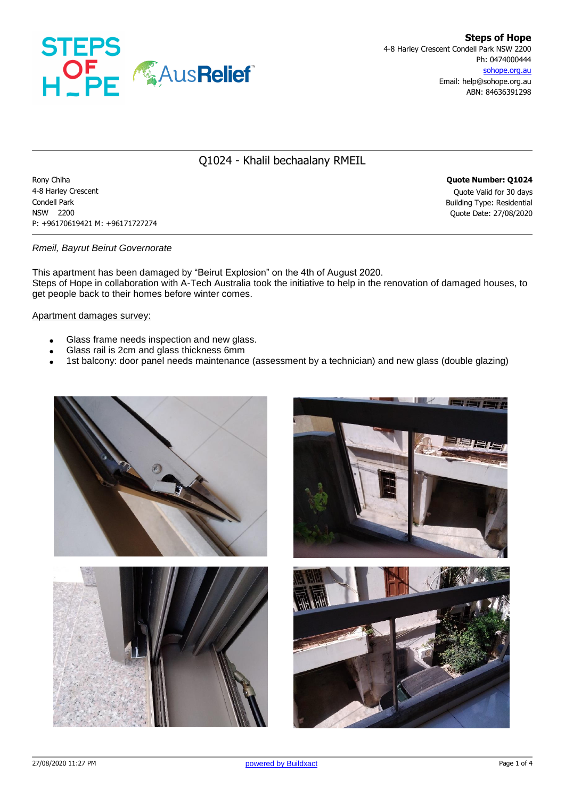

## Q1024 - Khalil bechaalany RMEIL

Rony Chiha **Quote Number: Q1024** 4-8 Harley Crescent Quote Valid for 30 days Condell Park Building Type: Residential NSW 2200 Quote Date: 27/08/2020 P: +96170619421 M: +96171727274

### *Rmeil, Bayrut Beirut Governorate*

This apartment has been damaged by "Beirut Explosion" on the 4th of August 2020. Steps of Hope in collaboration with A-Tech Australia took the initiative to help in the renovation of damaged houses, to get people back to their homes before winter comes.

#### Apartment damages survey:

- Glass frame needs inspection and new glass.
- Glass rail is 2cm and glass thickness 6mm
- 1st balcony: door panel needs maintenance (assessment by a technician) and new glass (double glazing)





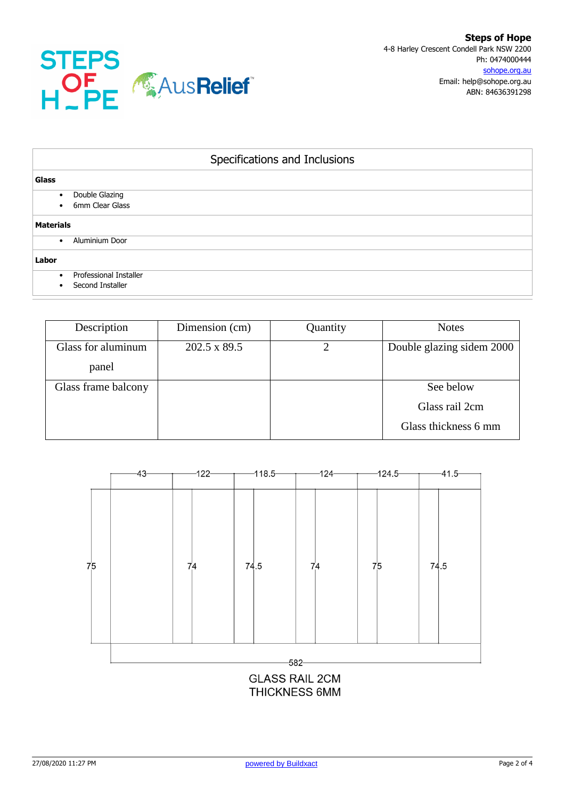

| Specifications and Inclusions                           |  |  |  |  |  |
|---------------------------------------------------------|--|--|--|--|--|
| Glass                                                   |  |  |  |  |  |
| Double Glazing<br>$\bullet$<br>6mm Clear Glass          |  |  |  |  |  |
| <b>Materials</b>                                        |  |  |  |  |  |
| Aluminium Door<br>$\bullet$                             |  |  |  |  |  |
| Labor                                                   |  |  |  |  |  |
| Professional Installer<br>$\bullet$<br>Second Installer |  |  |  |  |  |

| Description         | Dimension (cm) | Quantity | <b>Notes</b>              |
|---------------------|----------------|----------|---------------------------|
| Glass for aluminum  | 202.5 x 89.5   |          | Double glazing sidem 2000 |
| panel               |                |          |                           |
| Glass frame balcony |                |          | See below                 |
|                     |                |          | Glass rail 2cm            |
|                     |                |          | Glass thickness 6 mm      |



**THICKNESS 6MM**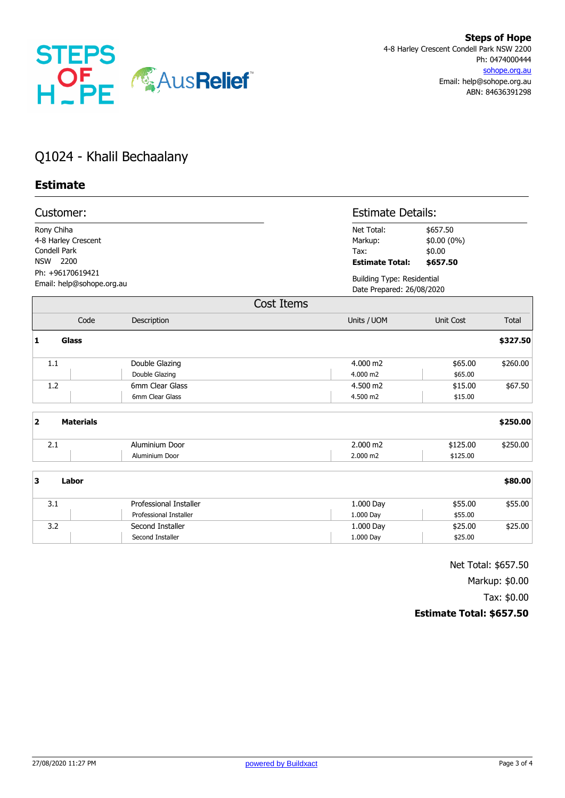

# Q1024 - Khalil Bechaalany

## **Estimate**

| Customer:                                     |                                                               |                                                                       |                                                         | <b>Estimate Details:</b>                                       |              |  |
|-----------------------------------------------|---------------------------------------------------------------|-----------------------------------------------------------------------|---------------------------------------------------------|----------------------------------------------------------------|--------------|--|
|                                               | Rony Chiha<br>4-8 Harley Crescent<br>Condell Park<br>NSW 2200 |                                                                       | Net Total:<br>Markup:<br>Tax:<br><b>Estimate Total:</b> | \$657.50<br>\$0.00 (0%)<br>\$0.00<br>\$657.50                  |              |  |
| Ph: +96170619421<br>Email: help@sohope.org.au |                                                               |                                                                       |                                                         | <b>Building Type: Residential</b><br>Date Prepared: 26/08/2020 |              |  |
|                                               |                                                               |                                                                       | Cost Items                                              |                                                                |              |  |
|                                               | Code                                                          | Description                                                           | Units / UOM                                             | <b>Unit Cost</b>                                               | <b>Total</b> |  |
| 1                                             | Glass                                                         |                                                                       |                                                         |                                                                | \$327.50     |  |
|                                               | 1.1                                                           | Double Glazing<br>Double Glazing                                      | 4.000 m2<br>4.000 m2                                    | \$65.00<br>\$65.00                                             | \$260.00     |  |
|                                               | 1.2                                                           | 6mm Clear Glass<br>6mm Clear Glass                                    | 4.500 m2<br>4.500 m2                                    | \$15.00<br>\$15.00                                             | \$67.50      |  |
| $\overline{2}$                                | <b>Materials</b>                                              |                                                                       |                                                         |                                                                | \$250.00     |  |
|                                               | 2.1                                                           | Aluminium Door<br>Aluminium Door                                      | 2.000 m2<br>2.000 m2                                    | \$125.00<br>\$125.00                                           | \$250.00     |  |
| 3                                             | Labor                                                         |                                                                       |                                                         |                                                                | \$80.00      |  |
|                                               | 3.1                                                           | Professional Installer                                                | 1.000 Day                                               | \$55.00                                                        | \$55.00      |  |
|                                               | 3.2                                                           | <b>Professional Installer</b><br>Second Installer<br>Second Installer | 1.000 Day<br>1.000 Day<br>1.000 Day                     | \$55.00<br>\$25.00<br>\$25.00                                  | \$25.00      |  |

Net Total: \$657.50 Markup: \$0.00 Tax: \$0.00 **Estimate Total: \$657.50**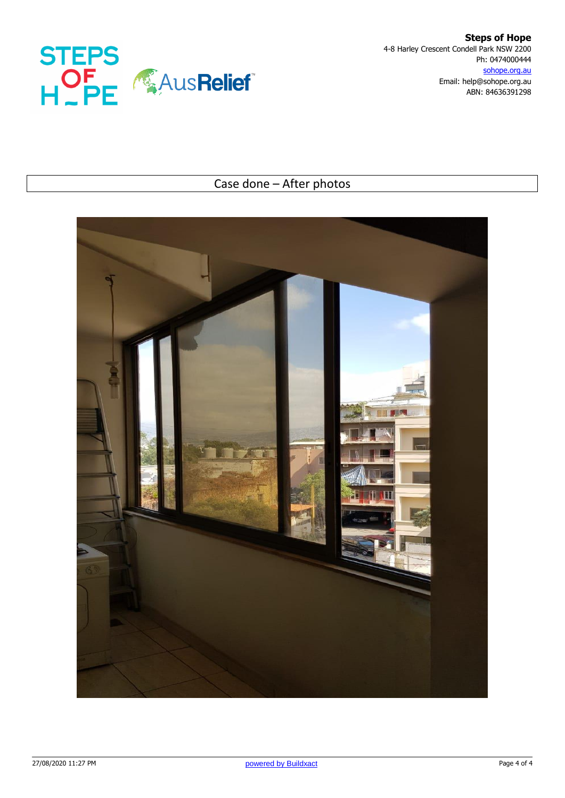

**Steps of Hope** 4-8 Harley Crescent Condell Park NSW 2200 Ph: 0474000444 sohope.org.au Email: help@sohope.org.au ABN: 84636391298

# Case done – After photos